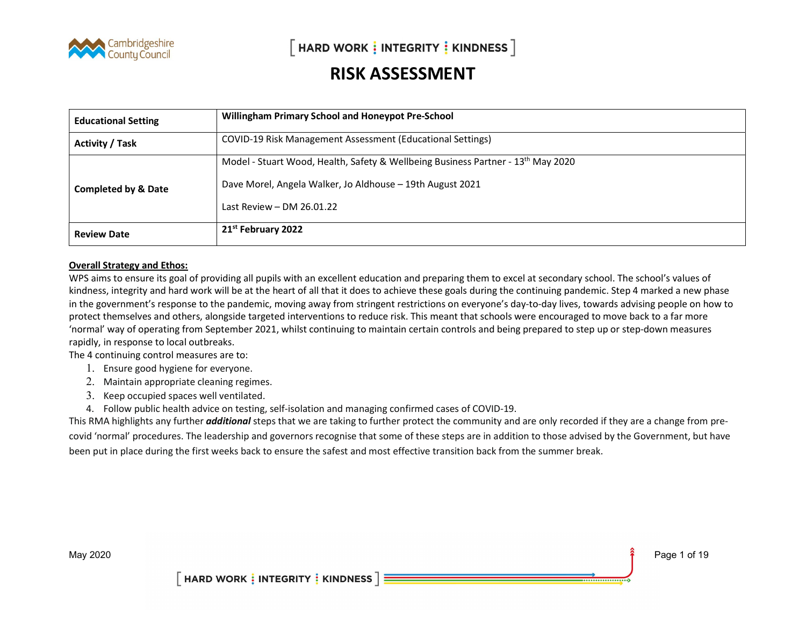

| <b>Educational Setting</b>     | <b>Willingham Primary School and Honeypot Pre-School</b>                                                                                                                                 |
|--------------------------------|------------------------------------------------------------------------------------------------------------------------------------------------------------------------------------------|
| <b>Activity / Task</b>         | COVID-19 Risk Management Assessment (Educational Settings)                                                                                                                               |
| <b>Completed by &amp; Date</b> | Model - Stuart Wood, Health, Safety & Wellbeing Business Partner - 13 <sup>th</sup> May 2020<br>Dave Morel, Angela Walker, Jo Aldhouse - 19th August 2021<br>Last Review $-$ DM 26.01.22 |
| <b>Review Date</b>             | 21 <sup>st</sup> February 2022                                                                                                                                                           |

#### Overall Strategy and Ethos:

WPS aims to ensure its goal of providing all pupils with an excellent education and preparing them to excel at secondary school. The school's values of kindness, integrity and hard work will be at the heart of all that it does to achieve these goals during the continuing pandemic. Step 4 marked a new phase in the government's response to the pandemic, moving away from stringent restrictions on everyone's day-to-day lives, towards advising people on how to protect themselves and others, alongside targeted interventions to reduce risk. This meant that schools were encouraged to move back to a far more 'normal' way of operating from September 2021, whilst continuing to maintain certain controls and being prepared to step up or step-down measures rapidly, in response to local outbreaks.

The 4 continuing control measures are to:

- 1. Ensure good hygiene for everyone.
- 2. Maintain appropriate cleaning regimes.
- 3. Keep occupied spaces well ventilated.
- 4. Follow public health advice on testing, self-isolation and managing confirmed cases of COVID-19.

This RMA highlights any further *additional* steps that we are taking to further protect the community and are only recorded if they are a change from precovid 'normal' procedures. The leadership and governors recognise that some of these steps are in addition to those advised by the Government, but have been put in place during the first weeks back to ensure the safest and most effective transition back from the summer break.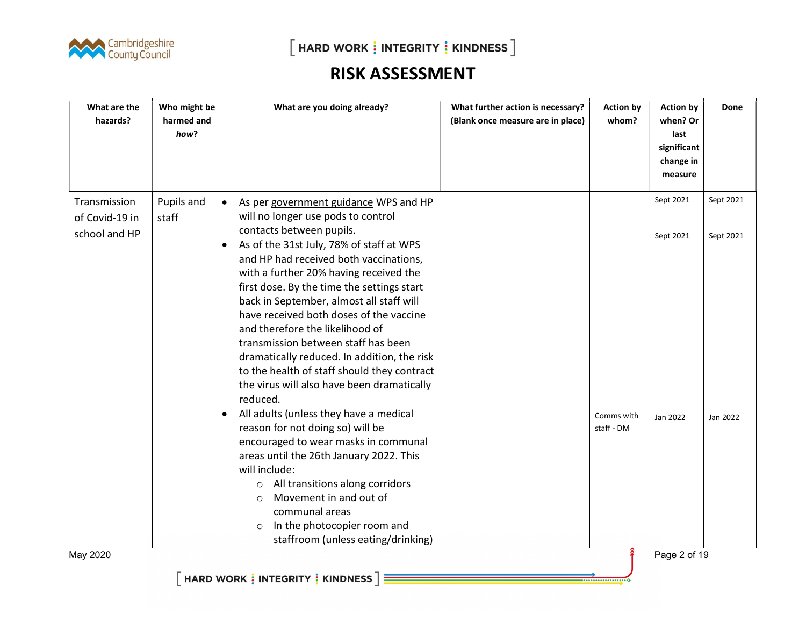

| What are the<br>hazards?                        | Who might be<br>harmed and<br>how? | What are you doing already?                                                                                                                                                                                                                                                                                                                                                                                                                                                                                                                                                                                                                                                                                                                                                                                                                                                                                                                                                                                                               | What further action is necessary?<br>(Blank once measure are in place) | <b>Action by</b><br>whom? | <b>Action by</b><br>when? Or<br>last<br>significant<br>change in<br>measure | Done                               |
|-------------------------------------------------|------------------------------------|-------------------------------------------------------------------------------------------------------------------------------------------------------------------------------------------------------------------------------------------------------------------------------------------------------------------------------------------------------------------------------------------------------------------------------------------------------------------------------------------------------------------------------------------------------------------------------------------------------------------------------------------------------------------------------------------------------------------------------------------------------------------------------------------------------------------------------------------------------------------------------------------------------------------------------------------------------------------------------------------------------------------------------------------|------------------------------------------------------------------------|---------------------------|-----------------------------------------------------------------------------|------------------------------------|
| Transmission<br>of Covid-19 in<br>school and HP | Pupils and<br>staff                | As per government guidance WPS and HP<br>$\bullet$<br>will no longer use pods to control<br>contacts between pupils.<br>As of the 31st July, 78% of staff at WPS<br>$\bullet$<br>and HP had received both vaccinations,<br>with a further 20% having received the<br>first dose. By the time the settings start<br>back in September, almost all staff will<br>have received both doses of the vaccine<br>and therefore the likelihood of<br>transmission between staff has been<br>dramatically reduced. In addition, the risk<br>to the health of staff should they contract<br>the virus will also have been dramatically<br>reduced.<br>All adults (unless they have a medical<br>$\bullet$<br>reason for not doing so) will be<br>encouraged to wear masks in communal<br>areas until the 26th January 2022. This<br>will include:<br>All transitions along corridors<br>$\circ$<br>Movement in and out of<br>$\Omega$<br>communal areas<br>In the photocopier room and<br>$\circlearrowright$<br>staffroom (unless eating/drinking) |                                                                        | Comms with<br>staff - DM  | Sept 2021<br>Sept 2021<br>Jan 2022                                          | Sept 2021<br>Sept 2021<br>Jan 2022 |
| May 2020                                        |                                    |                                                                                                                                                                                                                                                                                                                                                                                                                                                                                                                                                                                                                                                                                                                                                                                                                                                                                                                                                                                                                                           |                                                                        |                           | Page 2 of 19                                                                |                                    |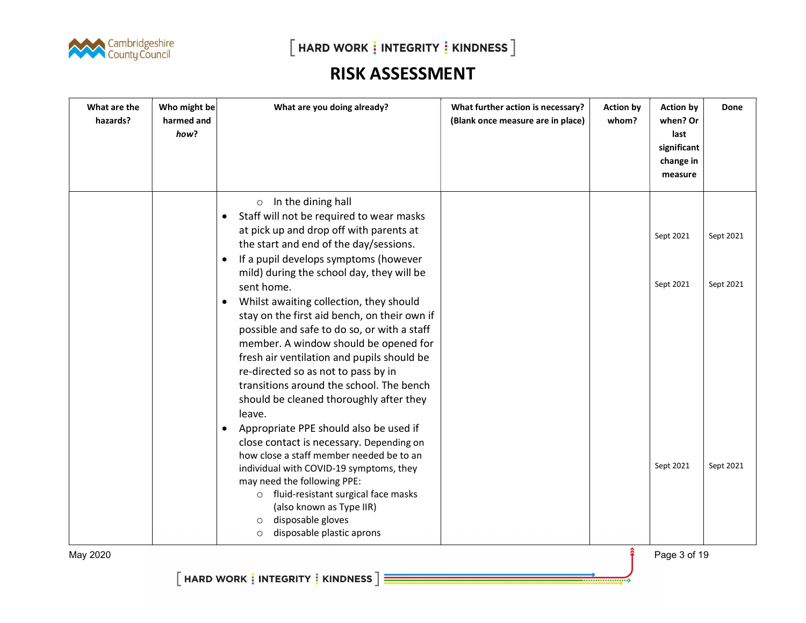

| What are the<br>hazards? | Who might be<br>harmed and<br>how? | What are you doing already?                                                                                                                                                                                                                                                                                                                                                                                                                                                                                                                                                                                                                                                                                                                                                                                                                                                                                                                                                                                                                                    | What further action is necessary?<br>(Blank once measure are in place) | <b>Action by</b><br>whom? | <b>Action by</b><br>when? Or<br>last<br>significant<br>change in<br>measure | Done                                |
|--------------------------|------------------------------------|----------------------------------------------------------------------------------------------------------------------------------------------------------------------------------------------------------------------------------------------------------------------------------------------------------------------------------------------------------------------------------------------------------------------------------------------------------------------------------------------------------------------------------------------------------------------------------------------------------------------------------------------------------------------------------------------------------------------------------------------------------------------------------------------------------------------------------------------------------------------------------------------------------------------------------------------------------------------------------------------------------------------------------------------------------------|------------------------------------------------------------------------|---------------------------|-----------------------------------------------------------------------------|-------------------------------------|
|                          |                                    | $\circ$ In the dining hall<br>Staff will not be required to wear masks<br>$\bullet$<br>at pick up and drop off with parents at<br>the start and end of the day/sessions.<br>If a pupil develops symptoms (however<br>$\bullet$<br>mild) during the school day, they will be<br>sent home.<br>Whilst awaiting collection, they should<br>$\bullet$<br>stay on the first aid bench, on their own if<br>possible and safe to do so, or with a staff<br>member. A window should be opened for<br>fresh air ventilation and pupils should be<br>re-directed so as not to pass by in<br>transitions around the school. The bench<br>should be cleaned thoroughly after they<br>leave.<br>Appropriate PPE should also be used if<br>$\bullet$<br>close contact is necessary. Depending on<br>how close a staff member needed be to an<br>individual with COVID-19 symptoms, they<br>may need the following PPE:<br>fluid-resistant surgical face masks<br>$\circ$<br>(also known as Type IIR)<br>disposable gloves<br>$\circ$<br>disposable plastic aprons<br>$\circ$ |                                                                        |                           | Sept 2021<br>Sept 2021<br>Sept 2021                                         | Sept 2021<br>Sept 2021<br>Sept 2021 |
| May 2020                 |                                    |                                                                                                                                                                                                                                                                                                                                                                                                                                                                                                                                                                                                                                                                                                                                                                                                                                                                                                                                                                                                                                                                |                                                                        | $\hat{\hat{\mathbf{r}}}$  | Page 3 of 19                                                                |                                     |

--------------------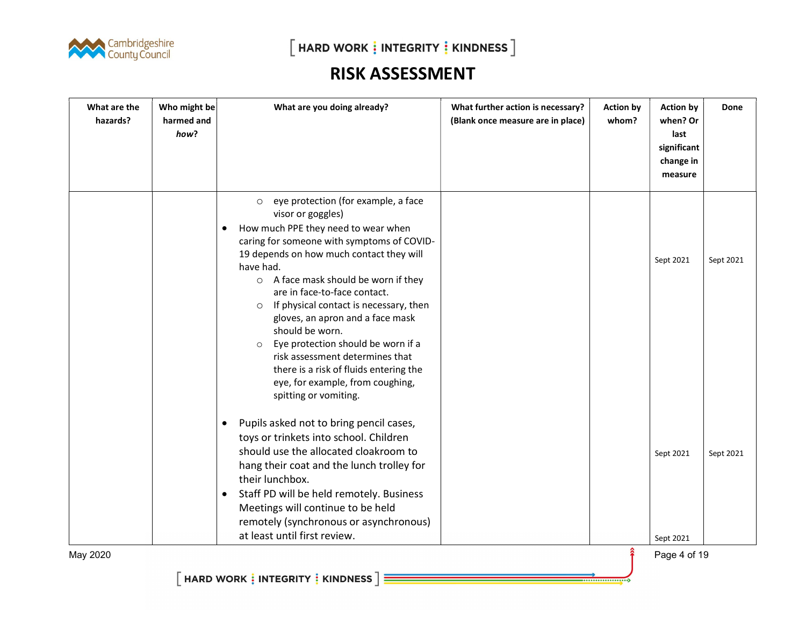

| how?                                                                                                                                                                                                                                                                                                                                                                                                                                                                                                                                                                       | whom? | when? Or<br>last<br>significant<br>change in<br>measure |           |
|----------------------------------------------------------------------------------------------------------------------------------------------------------------------------------------------------------------------------------------------------------------------------------------------------------------------------------------------------------------------------------------------------------------------------------------------------------------------------------------------------------------------------------------------------------------------------|-------|---------------------------------------------------------|-----------|
| eye protection (for example, a face<br>$\circ$<br>visor or goggles)<br>How much PPE they need to wear when<br>caring for someone with symptoms of COVID-<br>19 depends on how much contact they will<br>have had.<br>○ A face mask should be worn if they<br>are in face-to-face contact.<br>If physical contact is necessary, then<br>$\circ$<br>gloves, an apron and a face mask<br>should be worn.                                                                                                                                                                      |       | Sept 2021                                               | Sept 2021 |
| Eye protection should be worn if a<br>$\circ$<br>risk assessment determines that<br>there is a risk of fluids entering the<br>eye, for example, from coughing,<br>spitting or vomiting.<br>Pupils asked not to bring pencil cases,<br>$\bullet$<br>toys or trinkets into school. Children<br>should use the allocated cloakroom to<br>hang their coat and the lunch trolley for<br>their lunchbox.<br>Staff PD will be held remotely. Business<br>$\bullet$<br>Meetings will continue to be held<br>remotely (synchronous or asynchronous)<br>at least until first review. |       | Sept 2021                                               | Sept 2021 |
| May 2020                                                                                                                                                                                                                                                                                                                                                                                                                                                                                                                                                                   |       | Sept 2021<br>Page 4 of 19                               |           |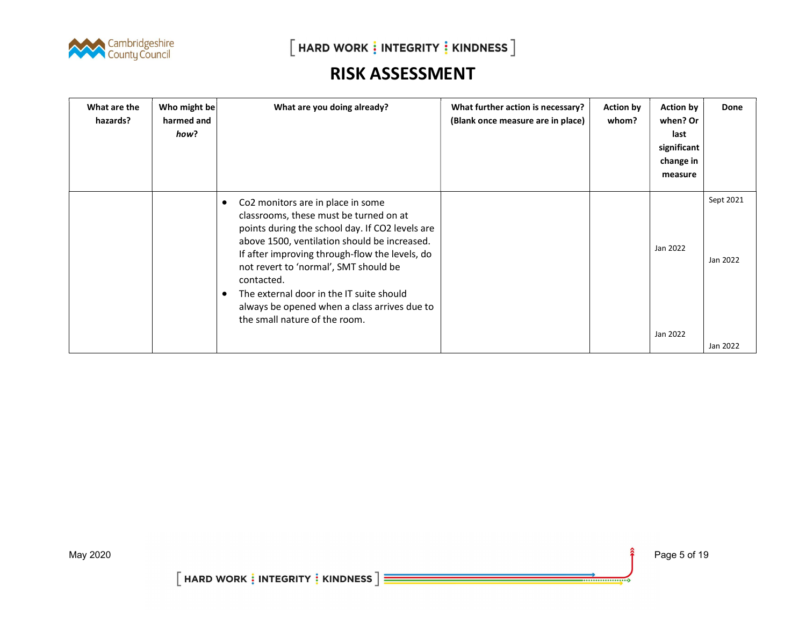

 $[$  HARD WORK  $\frac{1}{2}$  INTEGRITY  $\frac{1}{2}$  KINDNESS  $]$ 

#### RISK ASSESSMENT

| What are the<br>hazards? | Who might be<br>harmed and<br>how? | What are you doing already?                                                                                                                                                                                                                                                                                                                                                                                               | What further action is necessary?<br>(Blank once measure are in place) | <b>Action by</b><br>whom? | <b>Action by</b><br>when? Or<br>last<br>significant<br>change in<br>measure | Done                  |
|--------------------------|------------------------------------|---------------------------------------------------------------------------------------------------------------------------------------------------------------------------------------------------------------------------------------------------------------------------------------------------------------------------------------------------------------------------------------------------------------------------|------------------------------------------------------------------------|---------------------------|-----------------------------------------------------------------------------|-----------------------|
|                          |                                    | Co2 monitors are in place in some<br>٠<br>classrooms, these must be turned on at<br>points during the school day. If CO2 levels are<br>above 1500, ventilation should be increased.<br>If after improving through-flow the levels, do<br>not revert to 'normal', SMT should be<br>contacted.<br>The external door in the IT suite should<br>always be opened when a class arrives due to<br>the small nature of the room. |                                                                        |                           | Jan 2022                                                                    | Sept 2021<br>Jan 2022 |
|                          |                                    |                                                                                                                                                                                                                                                                                                                                                                                                                           |                                                                        |                           | Jan 2022                                                                    | Jan 2022              |

----------------------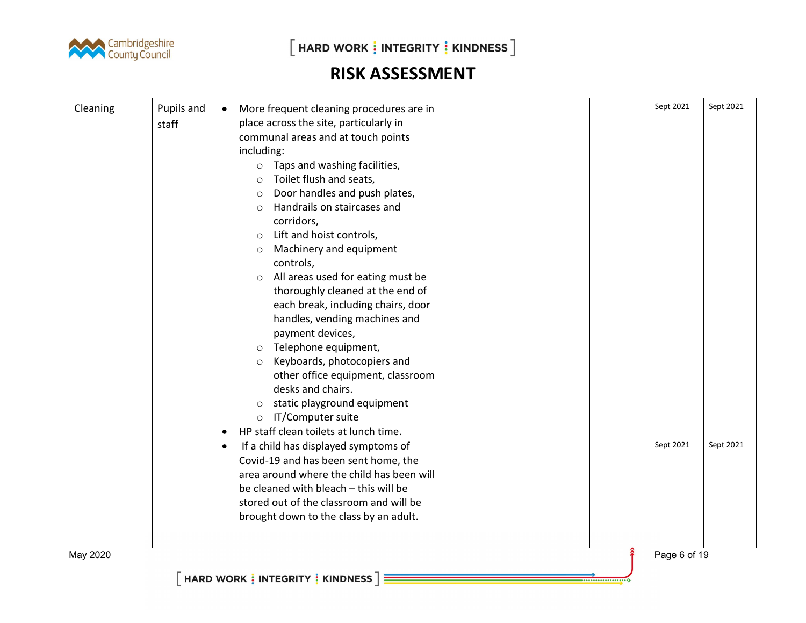

 $\left[\right.$  HARD WORK  $\frac{1}{2}$  INTEGRITY  $\frac{1}{2}$  KINDNESS  $\left.\right]$ 

| Cleaning | Pupils and | More frequent cleaning procedures are in<br>$\bullet$ | Sept 2021    | Sept 2021 |
|----------|------------|-------------------------------------------------------|--------------|-----------|
|          | staff      | place across the site, particularly in                |              |           |
|          |            | communal areas and at touch points                    |              |           |
|          |            | including:                                            |              |           |
|          |            | Taps and washing facilities,<br>$\circ$               |              |           |
|          |            | Toilet flush and seats,<br>$\circ$                    |              |           |
|          |            | Door handles and push plates,<br>$\circ$              |              |           |
|          |            | Handrails on staircases and<br>$\circ$                |              |           |
|          |            | corridors,                                            |              |           |
|          |            | Lift and hoist controls,<br>$\circ$                   |              |           |
|          |            | Machinery and equipment<br>$\circlearrowright$        |              |           |
|          |            | controls,                                             |              |           |
|          |            | All areas used for eating must be<br>$\circ$          |              |           |
|          |            | thoroughly cleaned at the end of                      |              |           |
|          |            | each break, including chairs, door                    |              |           |
|          |            | handles, vending machines and                         |              |           |
|          |            | payment devices,                                      |              |           |
|          |            | Telephone equipment,<br>$\circ$                       |              |           |
|          |            | Keyboards, photocopiers and<br>$\circ$                |              |           |
|          |            | other office equipment, classroom                     |              |           |
|          |            | desks and chairs.                                     |              |           |
|          |            | static playground equipment<br>$\circlearrowright$    |              |           |
|          |            | IT/Computer suite<br>$\circ$                          |              |           |
|          |            | HP staff clean toilets at lunch time.<br>$\bullet$    |              |           |
|          |            | If a child has displayed symptoms of                  | Sept 2021    | Sept 2021 |
|          |            | $\bullet$<br>Covid-19 and has been sent home, the     |              |           |
|          |            | area around where the child has been will             |              |           |
|          |            |                                                       |              |           |
|          |            | be cleaned with bleach - this will be                 |              |           |
|          |            | stored out of the classroom and will be               |              |           |
|          |            | brought down to the class by an adult.                |              |           |
|          |            |                                                       |              |           |
| May 2020 |            |                                                       | Page 6 of 19 |           |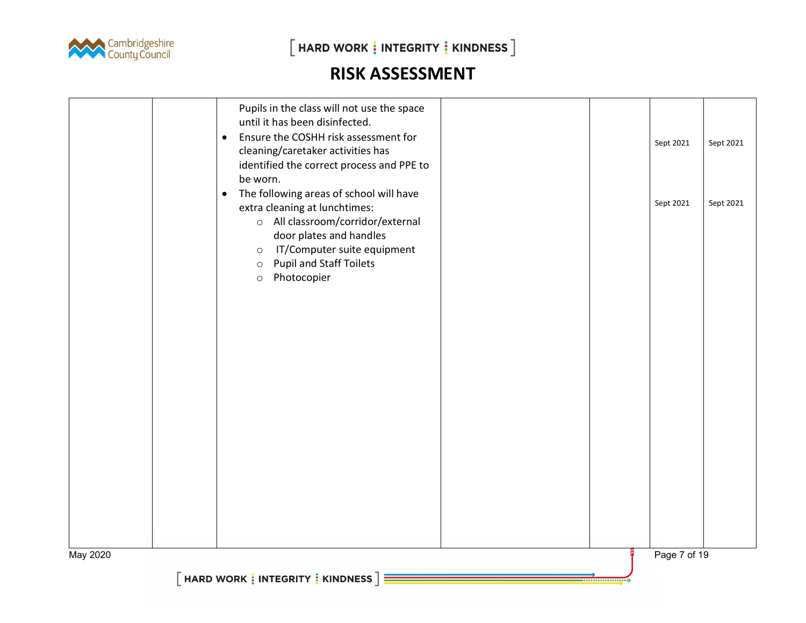

 $\left[\right.$ HARD WORK  $\frac{1}{2}$  INTEGRITY  $\frac{1}{2}$  KINDNESS  $\left.\right]$ 

|          | Pupils in the class will not use the space<br>until it has been disinfected.<br>Ensure the COSHH risk assessment for<br>$\bullet$<br>cleaning/caretaker activities has<br>identified the correct process and PPE to<br>be worn.                                        | Sept 2021    | Sept 2021 |
|----------|------------------------------------------------------------------------------------------------------------------------------------------------------------------------------------------------------------------------------------------------------------------------|--------------|-----------|
|          | The following areas of school will have<br>$\bullet$<br>extra cleaning at lunchtimes:<br>o All classroom/corridor/external<br>door plates and handles<br>IT/Computer suite equipment<br>$\circ$<br><b>Pupil and Staff Toilets</b><br>$\circ$<br>Photocopier<br>$\circ$ | Sept 2021    | Sept 2021 |
|          |                                                                                                                                                                                                                                                                        |              |           |
|          |                                                                                                                                                                                                                                                                        |              |           |
|          |                                                                                                                                                                                                                                                                        |              |           |
| May 2020 | HARD WORK : INTEGRITY : KINDNESS $\exists$                                                                                                                                                                                                                             | Page 7 of 19 |           |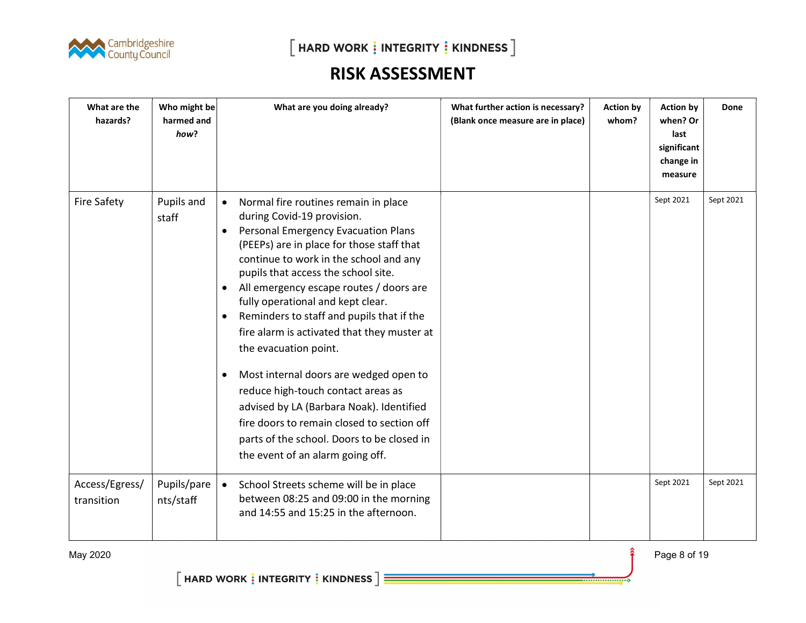

| What are the<br>hazards?     | Who might be<br>harmed and<br>how? | What are you doing already?                                                                                                                                                                                                                                                                                                                                                                                                                                                                                                                                                                                                                                                                                                                                               | What further action is necessary?<br>(Blank once measure are in place) | <b>Action by</b><br>whom? | <b>Action by</b><br>when? Or<br>last<br>significant<br>change in<br>measure | Done      |
|------------------------------|------------------------------------|---------------------------------------------------------------------------------------------------------------------------------------------------------------------------------------------------------------------------------------------------------------------------------------------------------------------------------------------------------------------------------------------------------------------------------------------------------------------------------------------------------------------------------------------------------------------------------------------------------------------------------------------------------------------------------------------------------------------------------------------------------------------------|------------------------------------------------------------------------|---------------------------|-----------------------------------------------------------------------------|-----------|
| <b>Fire Safety</b>           | Pupils and<br>staff                | Normal fire routines remain in place<br>$\bullet$<br>during Covid-19 provision.<br>Personal Emergency Evacuation Plans<br>$\bullet$<br>(PEEPs) are in place for those staff that<br>continue to work in the school and any<br>pupils that access the school site.<br>All emergency escape routes / doors are<br>$\bullet$<br>fully operational and kept clear.<br>Reminders to staff and pupils that if the<br>$\bullet$<br>fire alarm is activated that they muster at<br>the evacuation point.<br>Most internal doors are wedged open to<br>$\bullet$<br>reduce high-touch contact areas as<br>advised by LA (Barbara Noak). Identified<br>fire doors to remain closed to section off<br>parts of the school. Doors to be closed in<br>the event of an alarm going off. |                                                                        |                           | Sept 2021                                                                   | Sept 2021 |
| Access/Egress/<br>transition | Pupils/pare<br>nts/staff           | School Streets scheme will be in place<br>$\bullet$<br>between 08:25 and 09:00 in the morning<br>and 14:55 and 15:25 in the afternoon.                                                                                                                                                                                                                                                                                                                                                                                                                                                                                                                                                                                                                                    |                                                                        |                           | Sept 2021                                                                   | Sept 2021 |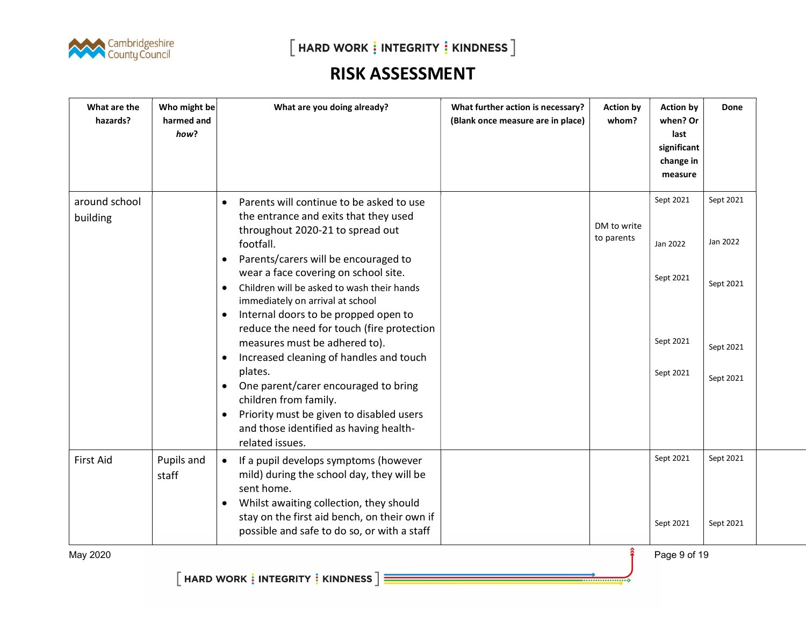

| What are the<br>hazards?  | Who might be<br>harmed and<br>how? | What are you doing already?                                                                                                                                                                                                                                                                                                                                                                                                                                                                                                                                                                                                                                                                                            | What further action is necessary?<br>(Blank once measure are in place) | <b>Action by</b><br>whom? | <b>Action by</b><br>when? Or<br>last<br>significant<br>change in<br>measure | Done                                                         |
|---------------------------|------------------------------------|------------------------------------------------------------------------------------------------------------------------------------------------------------------------------------------------------------------------------------------------------------------------------------------------------------------------------------------------------------------------------------------------------------------------------------------------------------------------------------------------------------------------------------------------------------------------------------------------------------------------------------------------------------------------------------------------------------------------|------------------------------------------------------------------------|---------------------------|-----------------------------------------------------------------------------|--------------------------------------------------------------|
| around school<br>building |                                    | Parents will continue to be asked to use<br>$\bullet$<br>the entrance and exits that they used<br>throughout 2020-21 to spread out<br>footfall.<br>Parents/carers will be encouraged to<br>$\bullet$<br>wear a face covering on school site.<br>Children will be asked to wash their hands<br>$\bullet$<br>immediately on arrival at school<br>Internal doors to be propped open to<br>$\bullet$<br>reduce the need for touch (fire protection<br>measures must be adhered to).<br>Increased cleaning of handles and touch<br>$\bullet$<br>plates.<br>One parent/carer encouraged to bring<br>children from family.<br>Priority must be given to disabled users<br>$\bullet$<br>and those identified as having health- |                                                                        | DM to write<br>to parents | Sept 2021<br>Jan 2022<br>Sept 2021<br>Sept 2021<br>Sept 2021                | Sept 2021<br>Jan 2022<br>Sept 2021<br>Sept 2021<br>Sept 2021 |
| <b>First Aid</b>          | Pupils and<br>staff                | related issues.<br>If a pupil develops symptoms (however<br>$\bullet$<br>mild) during the school day, they will be<br>sent home.<br>Whilst awaiting collection, they should<br>$\bullet$<br>stay on the first aid bench, on their own if<br>possible and safe to do so, or with a staff                                                                                                                                                                                                                                                                                                                                                                                                                                |                                                                        |                           | Sept 2021<br>Sept 2021                                                      | Sept 2021<br>Sept 2021                                       |

May 2020 **Page 9 of 19**  $\hat{\mathbf{f}}$  Page 9 of 19

..................

 $\left[\right.$  HARD WORK  $\frac{1}{2}$  INTEGRITY  $\frac{1}{2}$  KINDNESS  $\left.\right]\equiv$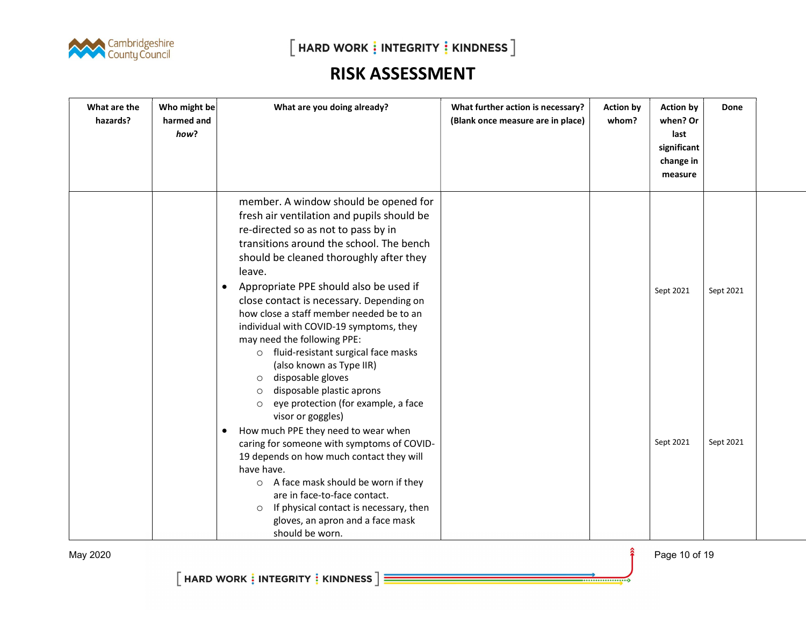

| What are the<br>hazards? | Who might be<br>harmed and<br>how? | What are you doing already?                                                                                                                                                                                                                                                                                                                                                                                                                                                                                                                                                                                                                                                                                                                                                                                                                                                                                                                                                                                                       | What further action is necessary?<br>(Blank once measure are in place) | <b>Action by</b><br>whom? | <b>Action by</b><br>when? Or<br>last<br>significant<br>change in<br>measure | <b>Done</b>            |  |
|--------------------------|------------------------------------|-----------------------------------------------------------------------------------------------------------------------------------------------------------------------------------------------------------------------------------------------------------------------------------------------------------------------------------------------------------------------------------------------------------------------------------------------------------------------------------------------------------------------------------------------------------------------------------------------------------------------------------------------------------------------------------------------------------------------------------------------------------------------------------------------------------------------------------------------------------------------------------------------------------------------------------------------------------------------------------------------------------------------------------|------------------------------------------------------------------------|---------------------------|-----------------------------------------------------------------------------|------------------------|--|
|                          |                                    | member. A window should be opened for<br>fresh air ventilation and pupils should be<br>re-directed so as not to pass by in<br>transitions around the school. The bench<br>should be cleaned thoroughly after they<br>leave.<br>Appropriate PPE should also be used if<br>$\bullet$<br>close contact is necessary. Depending on<br>how close a staff member needed be to an<br>individual with COVID-19 symptoms, they<br>may need the following PPE:<br>o fluid-resistant surgical face masks<br>(also known as Type IIR)<br>disposable gloves<br>$\circ$<br>disposable plastic aprons<br>$\circ$<br>eye protection (for example, a face<br>$\circ$<br>visor or goggles)<br>How much PPE they need to wear when<br>$\bullet$<br>caring for someone with symptoms of COVID-<br>19 depends on how much contact they will<br>have have.<br>A face mask should be worn if they<br>$\circ$<br>are in face-to-face contact.<br>If physical contact is necessary, then<br>$\circ$<br>gloves, an apron and a face mask<br>should be worn. |                                                                        |                           | Sept 2021<br>Sept 2021                                                      | Sept 2021<br>Sept 2021 |  |

May 2020 **Page 10 of 19**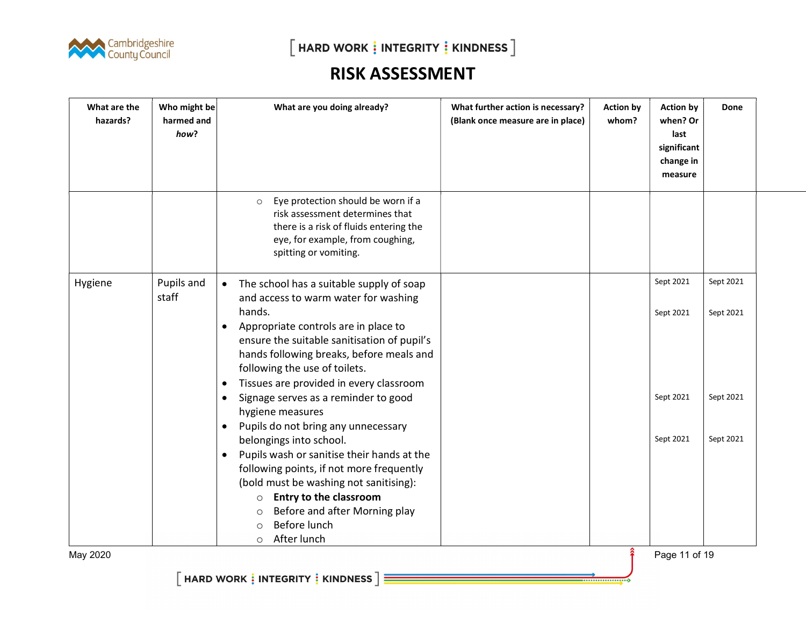

 $[$  HARD WORK  $\vdots$  INTEGRITY  $\vdots$  KINDNESS  $]$ 

# RISK ASSESSMENT

| What are the<br>hazards? | Who might be<br>harmed and<br>how? | What are you doing already?                                                                                                                                                                                                                                                                                                                                                                                                                         | What further action is necessary?<br>(Blank once measure are in place) | <b>Action by</b><br>whom? | <b>Action by</b><br>when? Or<br>last<br>significant<br>change in<br>measure | Done                   |  |
|--------------------------|------------------------------------|-----------------------------------------------------------------------------------------------------------------------------------------------------------------------------------------------------------------------------------------------------------------------------------------------------------------------------------------------------------------------------------------------------------------------------------------------------|------------------------------------------------------------------------|---------------------------|-----------------------------------------------------------------------------|------------------------|--|
|                          |                                    | Eye protection should be worn if a<br>$\circ$<br>risk assessment determines that<br>there is a risk of fluids entering the<br>eye, for example, from coughing,<br>spitting or vomiting.                                                                                                                                                                                                                                                             |                                                                        |                           |                                                                             |                        |  |
| Hygiene                  | Pupils and<br>staff                | The school has a suitable supply of soap<br>$\bullet$<br>and access to warm water for washing<br>hands.<br>Appropriate controls are in place to<br>$\bullet$<br>ensure the suitable sanitisation of pupil's<br>hands following breaks, before meals and<br>following the use of toilets.<br>Tissues are provided in every classroom<br>$\bullet$                                                                                                    |                                                                        |                           | Sept 2021<br>Sept 2021                                                      | Sept 2021<br>Sept 2021 |  |
| May 2020                 |                                    | Signage serves as a reminder to good<br>$\bullet$<br>hygiene measures<br>Pupils do not bring any unnecessary<br>$\bullet$<br>belongings into school.<br>Pupils wash or sanitise their hands at the<br>$\bullet$<br>following points, if not more frequently<br>(bold must be washing not sanitising):<br><b>Entry to the classroom</b><br>$\circ$<br>Before and after Morning play<br>$\circ$<br>Before lunch<br>$\Omega$<br>After lunch<br>$\circ$ |                                                                        |                           | Sept 2021<br>Sept 2021<br>Page 11 of 19                                     | Sept 2021<br>Sept 2021 |  |

...................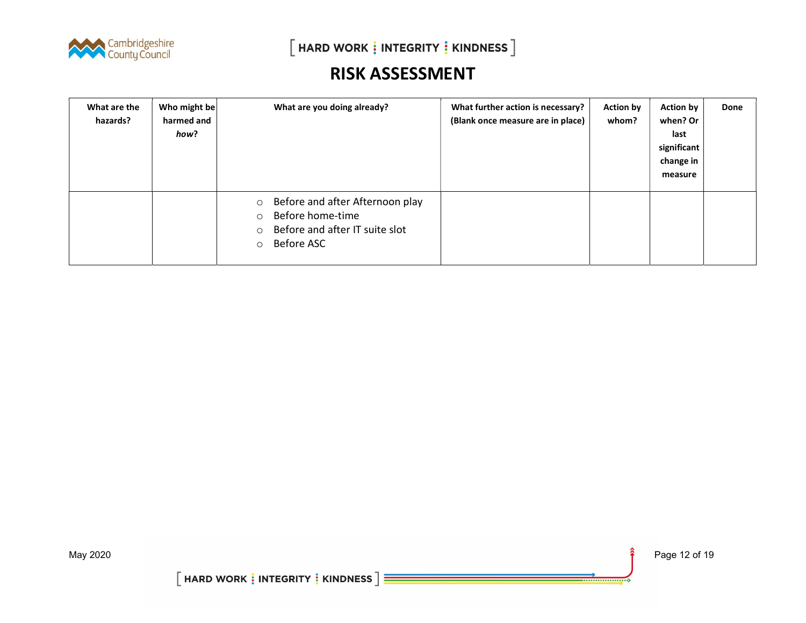

| What are the<br>hazards? | Who might be<br>harmed and<br>how? | What are you doing already?                                                                                                                     | What further action is necessary?<br>(Blank once measure are in place) | <b>Action by</b><br>whom? | <b>Action by</b><br>when? Or<br>last<br>significant<br>change in<br>measure | Done |
|--------------------------|------------------------------------|-------------------------------------------------------------------------------------------------------------------------------------------------|------------------------------------------------------------------------|---------------------------|-----------------------------------------------------------------------------|------|
|                          |                                    | Before and after Afternoon play<br>$\circ$<br>Before home-time<br>$\circ$<br>Before and after IT suite slot<br>$\circ$<br>Before ASC<br>$\circ$ |                                                                        |                           |                                                                             |      |

....................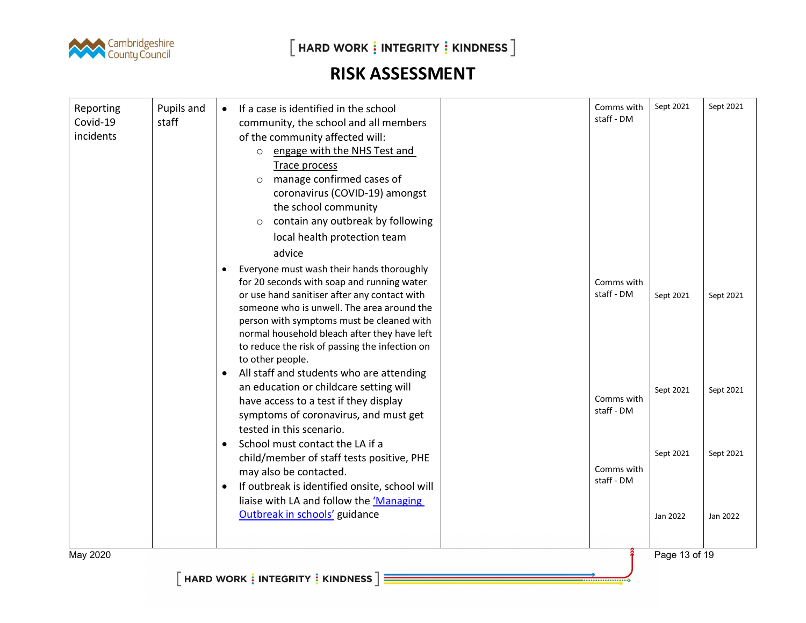

 $\left[\right.$  HARD WORK  $\frac{1}{2}$  INTEGRITY  $\frac{1}{2}$  KINDNESS  $\left.\right]$ 

# RISK ASSESSMENT

| Reporting<br>Covid-19<br>incidents | Pupils and<br>staff | If a case is identified in the school<br>community, the school and all members<br>of the community affected will:<br>engage with the NHS Test and<br>$\circ$<br>Trace process<br>manage confirmed cases of<br>$\circ$<br>coronavirus (COVID-19) amongst<br>the school community<br>contain any outbreak by following<br>$\circ$<br>local health protection team         | Comms with<br>staff - DM | Sept 2021             | Sept 2021             |
|------------------------------------|---------------------|-------------------------------------------------------------------------------------------------------------------------------------------------------------------------------------------------------------------------------------------------------------------------------------------------------------------------------------------------------------------------|--------------------------|-----------------------|-----------------------|
|                                    |                     | advice<br>Everyone must wash their hands thoroughly<br>٠<br>for 20 seconds with soap and running water<br>or use hand sanitiser after any contact with<br>someone who is unwell. The area around the<br>person with symptoms must be cleaned with<br>normal household bleach after they have left<br>to reduce the risk of passing the infection on<br>to other people. | Comms with<br>staff - DM | Sept 2021             | Sept 2021             |
|                                    |                     | All staff and students who are attending<br>$\bullet$<br>an education or childcare setting will<br>have access to a test if they display<br>symptoms of coronavirus, and must get<br>tested in this scenario.<br>School must contact the LA if a                                                                                                                        | Comms with<br>staff - DM | Sept 2021             | Sept 2021             |
|                                    |                     | $\bullet$<br>child/member of staff tests positive, PHE<br>may also be contacted.<br>If outbreak is identified onsite, school will<br>liaise with LA and follow the 'Managing<br>Outbreak in schools' guidance                                                                                                                                                           | Comms with<br>staff - DM | Sept 2021<br>Jan 2022 | Sept 2021<br>Jan 2022 |
| May 2020                           |                     |                                                                                                                                                                                                                                                                                                                                                                         |                          | Page 13 of 19         |                       |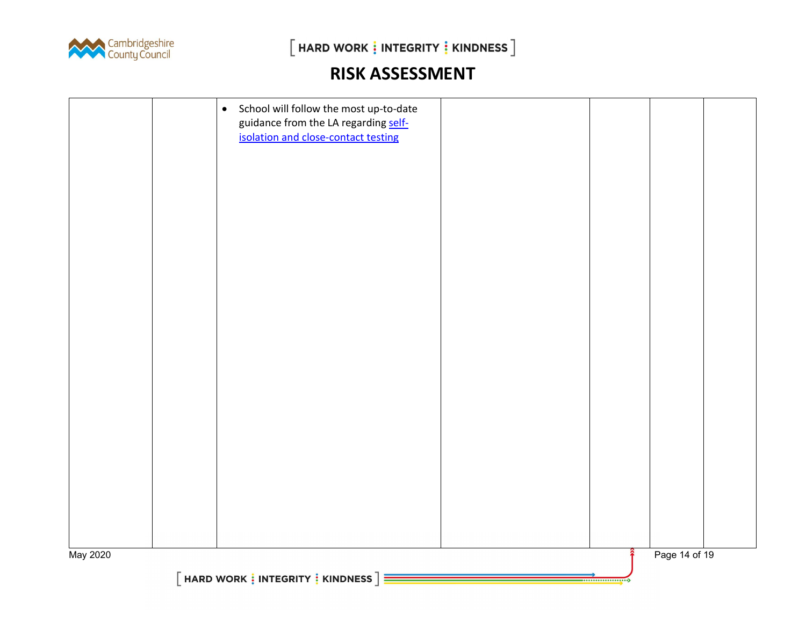

|          | $\bullet$ | School will follow the most up-to-date<br>guidance from the LA regarding self-<br>isolation and close-contact testing |  |  |               |  |
|----------|-----------|-----------------------------------------------------------------------------------------------------------------------|--|--|---------------|--|
| May 2020 |           | $[$ HARD WORK $\frac{1}{2}$ INTEGRITY $\frac{1}{2}$ KINDNESS $\frac{1}{2}$                                            |  |  | Page 14 of 19 |  |
|          |           |                                                                                                                       |  |  |               |  |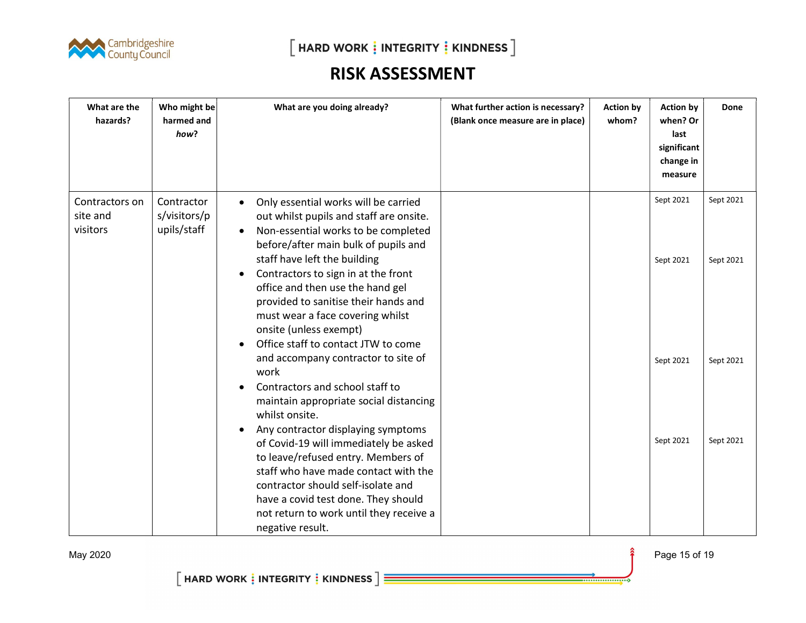

| What are the<br>hazards?               | Who might be<br>harmed and<br>how?        | What are you doing already?                                                                                                                                                                                                                                                                                                                                                                                                                                                   | What further action is necessary?<br>(Blank once measure are in place) | <b>Action by</b><br>whom? | <b>Action by</b><br>when? Or<br>last<br>significant<br>change in<br>measure | <b>Done</b>            |
|----------------------------------------|-------------------------------------------|-------------------------------------------------------------------------------------------------------------------------------------------------------------------------------------------------------------------------------------------------------------------------------------------------------------------------------------------------------------------------------------------------------------------------------------------------------------------------------|------------------------------------------------------------------------|---------------------------|-----------------------------------------------------------------------------|------------------------|
| Contractors on<br>site and<br>visitors | Contractor<br>s/visitors/p<br>upils/staff | Only essential works will be carried<br>$\bullet$<br>out whilst pupils and staff are onsite.<br>Non-essential works to be completed<br>$\bullet$<br>before/after main bulk of pupils and<br>staff have left the building<br>Contractors to sign in at the front<br>$\bullet$<br>office and then use the hand gel<br>provided to sanitise their hands and<br>must wear a face covering whilst<br>onsite (unless exempt)<br>Office staff to contact JTW to come<br>$\bullet$    |                                                                        |                           | Sept 2021<br>Sept 2021                                                      | Sept 2021<br>Sept 2021 |
|                                        |                                           | and accompany contractor to site of<br>work<br>Contractors and school staff to<br>$\bullet$<br>maintain appropriate social distancing<br>whilst onsite.<br>Any contractor displaying symptoms<br>$\bullet$<br>of Covid-19 will immediately be asked<br>to leave/refused entry. Members of<br>staff who have made contact with the<br>contractor should self-isolate and<br>have a covid test done. They should<br>not return to work until they receive a<br>negative result. |                                                                        |                           | Sept 2021<br>Sept 2021                                                      | Sept 2021<br>Sept 2021 |

....................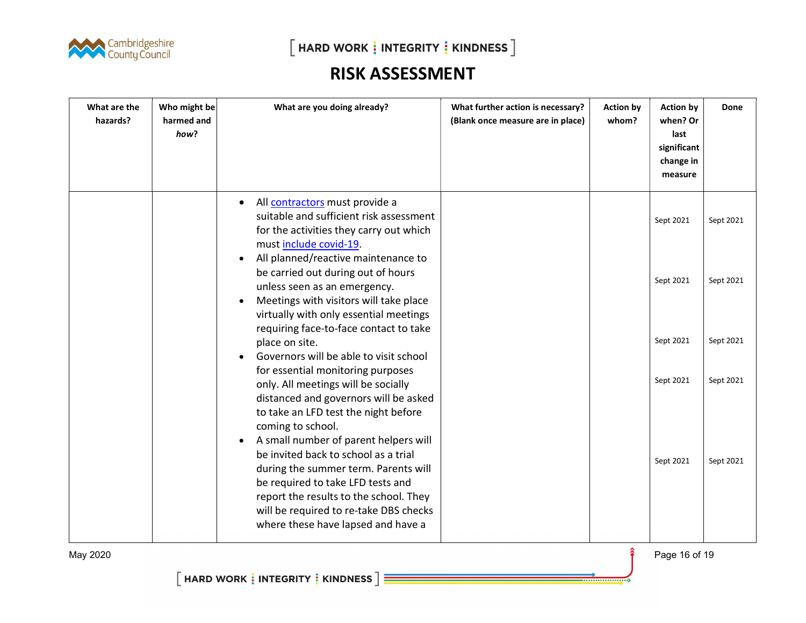

| What are the<br>hazards? | Who might be<br>harmed and<br>how? | What are you doing already?                                                                                                                                                                                                                 | What further action is necessary?<br>(Blank once measure are in place) | <b>Action by</b><br>whom? | <b>Action by</b><br>when? Or<br>last<br>significant<br>change in<br>measure | Done      |
|--------------------------|------------------------------------|---------------------------------------------------------------------------------------------------------------------------------------------------------------------------------------------------------------------------------------------|------------------------------------------------------------------------|---------------------------|-----------------------------------------------------------------------------|-----------|
|                          |                                    | All contractors must provide a<br>$\bullet$<br>suitable and sufficient risk assessment<br>for the activities they carry out which<br>must include covid-19.                                                                                 |                                                                        |                           | Sept 2021                                                                   | Sept 2021 |
|                          |                                    | All planned/reactive maintenance to<br>be carried out during out of hours<br>unless seen as an emergency.<br>Meetings with visitors will take place<br>virtually with only essential meetings<br>requiring face-to-face contact to take     |                                                                        |                           | Sept 2021                                                                   | Sept 2021 |
|                          |                                    | place on site.<br>Governors will be able to visit school                                                                                                                                                                                    |                                                                        |                           | Sept 2021                                                                   | Sept 2021 |
|                          |                                    | for essential monitoring purposes<br>only. All meetings will be socially<br>distanced and governors will be asked<br>to take an LFD test the night before<br>coming to school.<br>A small number of parent helpers will<br>$\bullet$        |                                                                        |                           | Sept 2021                                                                   | Sept 2021 |
|                          |                                    | be invited back to school as a trial<br>during the summer term. Parents will<br>be required to take LFD tests and<br>report the results to the school. They<br>will be required to re-take DBS checks<br>where these have lapsed and have a |                                                                        |                           | Sept 2021                                                                   | Sept 2021 |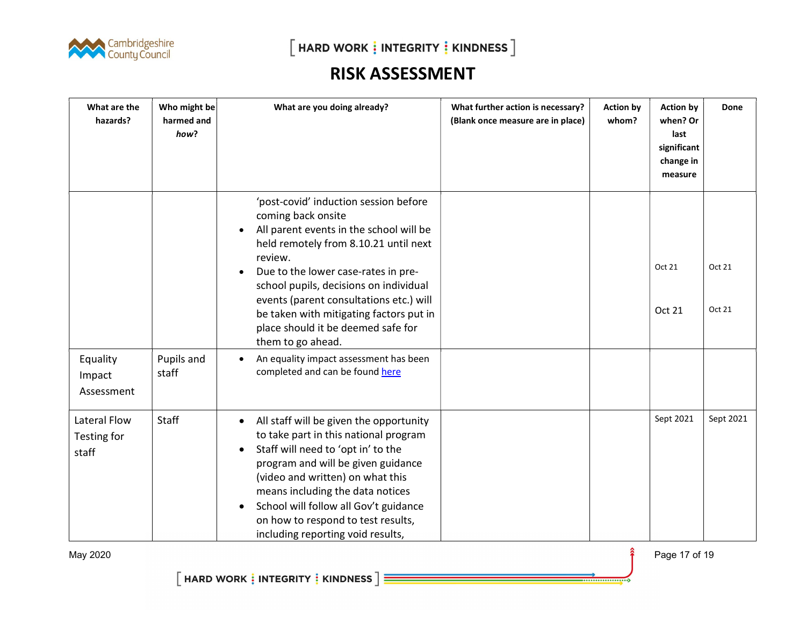

 $[$  HARD WORK  $\frac{1}{2}$  INTEGRITY  $\frac{1}{2}$  KINDNESS  $]$ 

#### RISK ASSESSMENT

| What are the<br>hazards?             | Who might be<br>harmed and<br>how? | What are you doing already?                                                                                                                                                                                                                                                                                                                                                                                            | What further action is necessary?<br>(Blank once measure are in place) | <b>Action by</b><br>whom? | <b>Action by</b><br>when? Or<br>last<br>significant<br>change in<br>measure | Done             |
|--------------------------------------|------------------------------------|------------------------------------------------------------------------------------------------------------------------------------------------------------------------------------------------------------------------------------------------------------------------------------------------------------------------------------------------------------------------------------------------------------------------|------------------------------------------------------------------------|---------------------------|-----------------------------------------------------------------------------|------------------|
|                                      |                                    | 'post-covid' induction session before<br>coming back onsite<br>All parent events in the school will be<br>$\bullet$<br>held remotely from 8.10.21 until next<br>review.<br>Due to the lower case-rates in pre-<br>$\bullet$<br>school pupils, decisions on individual<br>events (parent consultations etc.) will<br>be taken with mitigating factors put in<br>place should it be deemed safe for<br>them to go ahead. |                                                                        |                           | Oct 21<br>Oct 21                                                            | Oct 21<br>Oct 21 |
| Equality<br>Impact<br>Assessment     | Pupils and<br>staff                | An equality impact assessment has been<br>$\bullet$<br>completed and can be found here                                                                                                                                                                                                                                                                                                                                 |                                                                        |                           |                                                                             |                  |
| Lateral Flow<br>Testing for<br>staff | Staff                              | All staff will be given the opportunity<br>$\bullet$<br>to take part in this national program<br>Staff will need to 'opt in' to the<br>$\bullet$<br>program and will be given guidance<br>(video and written) on what this<br>means including the data notices<br>School will follow all Gov't guidance<br>$\bullet$<br>on how to respond to test results,<br>including reporting void results,                        |                                                                        |                           | Sept 2021                                                                   | Sept 2021        |

May 2020 **Page 17** of 19

. . . . . . . . . . . . . . . . . .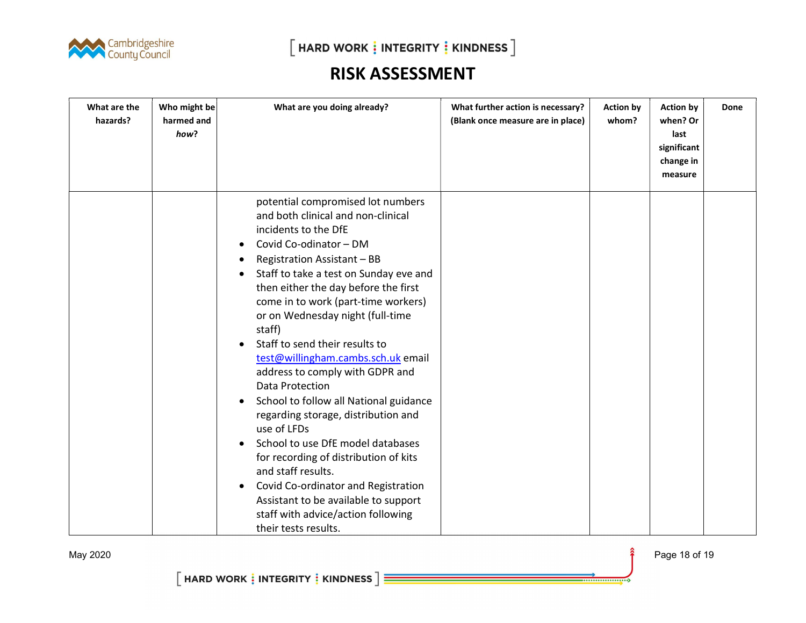

| What are the<br>hazards? | Who might be<br>harmed and<br>how? | What are you doing already?                                                                                                                                                                                                                                                                                                                                                                                                                                                                                                                                                                                                                                                                                                                                                                                                                                     | What further action is necessary?<br>(Blank once measure are in place) | <b>Action by</b><br>whom? | <b>Action by</b><br>when? Or<br>last<br>significant<br>change in<br>measure | Done |
|--------------------------|------------------------------------|-----------------------------------------------------------------------------------------------------------------------------------------------------------------------------------------------------------------------------------------------------------------------------------------------------------------------------------------------------------------------------------------------------------------------------------------------------------------------------------------------------------------------------------------------------------------------------------------------------------------------------------------------------------------------------------------------------------------------------------------------------------------------------------------------------------------------------------------------------------------|------------------------------------------------------------------------|---------------------------|-----------------------------------------------------------------------------|------|
|                          |                                    | potential compromised lot numbers<br>and both clinical and non-clinical<br>incidents to the DfE<br>Covid Co-odinator - DM<br>$\bullet$<br>Registration Assistant - BB<br>٠<br>Staff to take a test on Sunday eve and<br>٠<br>then either the day before the first<br>come in to work (part-time workers)<br>or on Wednesday night (full-time<br>staff)<br>Staff to send their results to<br>test@willingham.cambs.sch.uk email<br>address to comply with GDPR and<br>Data Protection<br>School to follow all National guidance<br>$\bullet$<br>regarding storage, distribution and<br>use of LFDs<br>School to use DfE model databases<br>for recording of distribution of kits<br>and staff results.<br>Covid Co-ordinator and Registration<br>$\bullet$<br>Assistant to be available to support<br>staff with advice/action following<br>their tests results. |                                                                        |                           |                                                                             |      |

May 2020 **Page 18 of 19** 

................